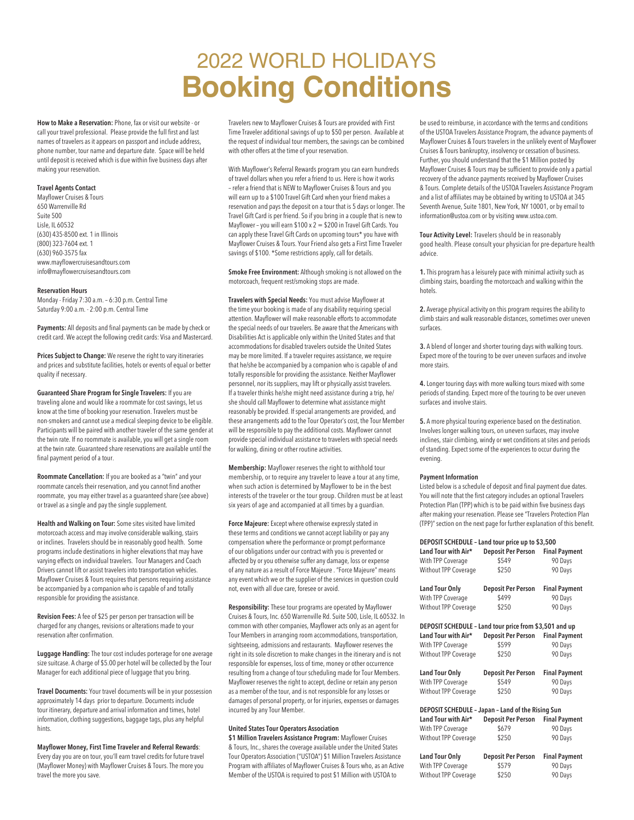# 2022 WORLD HOLIDAYS **Booking Conditions**

**How to Make a Reservation:** Phone, fax or visit our website - or call your travel professional. Please provide the full first and last names of travelers as it appears on passport and include address, phone number, tour name and departure date. Space will be held until deposit is received which is due within five business days after making your reservation.

## **Travel Agents Contact**

Mayflower Cruises & Tours 650 Warrenville Rd Suite 500 Lisle, IL 60532 (630) 435-8500 ext. 1 in Illinois (800) 323-7604 ext. 1 (630) 960-3575 fax www.mayflowercruisesandtours.com info@mayflowercruisesandtours.com

#### **Reservation Hours**

Monday - Friday 7:30 a.m. – 6:30 p.m. Central Time Saturday 9:00 a.m. - 2:00 p.m. Central Time

**Payments:** All deposits and final payments can be made by check or credit card. We accept the following credit cards: Visa and Mastercard.

**Prices Subject to Change:** We reserve the right to vary itineraries and prices and substitute facilities, hotels or events of equal or better quality if necessary.

**Guaranteed Share Program for Single Travelers:** If you are traveling alone and would like a roommate for cost savings, let us know at the time of booking your reservation. Travelers must be non-smokers and cannot use a medical sleeping device to be eligible. Participants will be paired with another traveler of the same gender at the twin rate. If no roommate is available, you will get a single room at the twin rate. Guaranteed share reservations are available until the final payment period of a tour.

**Roommate Cancellation:** If you are booked as a "twin" and your roommate cancels their reservation, and you cannot find another roommate, you may either travel as a guaranteed share (see above) or travel as a single and pay the single supplement.

**Health and Walking on Tour:** Some sites visited have limited motorcoach access and may involve considerable walking, stairs or inclines. Travelers should be in reasonably good health. Some programs include destinations in higher elevations that may have varying effects on individual travelers. Tour Managers and Coach Drivers cannot lift or assist travelers into transportation vehicles. Mayflower Cruises & Tours requires that persons requiring assistance be accompanied by a companion who is capable of and totally responsible for providing the assistance.

**Revision Fees:** A fee of \$25 per person per transaction will be charged for any changes, revisions or alterations made to your reservation after confirmation.

**Luggage Handling:** The tour cost includes porterage for one average size suitcase. A charge of \$5.00 per hotel will be collected by the Tour Manager for each additional piece of luggage that you bring.

**Travel Documents:** Your travel documents will be in your possession approximately 14 days prior to departure. Documents include tour itinerary, departure and arrival information and times, hotel information, clothing suggestions, baggage tags, plus any helpful hints.

**Mayflower Money, First Time Traveler and Referral Rewards**: Every day you are on tour, you'll earn travel credits for future travel (Mayflower Money) with Mayflower Cruises & Tours. The more you travel the more you save.

Travelers new to Mayflower Cruises & Tours are provided with First Time Traveler additional savings of up to \$50 per person. Available at the request of individual tour members, the savings can be combined with other offers at the time of your reservation.

With Mayflower's Referral Rewards program you can earn hundreds of travel dollars when you refer a friend to us. Here is how it works – refer a friend that is NEW to Mayflower Cruises & Tours and you will earn up to a \$100 Travel Gift Card when your friend makes a reservation and pays the deposit on a tour that is 5 days or longer. The Travel Gift Card is per friend. So if you bring in a couple that is new to Mayflower – you will earn \$100 x  $2 = $200$  in Travel Gift Cards. You can apply these Travel Gift Cards on upcoming tours\* you have with Mayflower Cruises & Tours. Your Friend also gets a First Time Traveler savings of \$100. \*Some restrictions apply, call for details.

**Smoke Free Environment:** Although smoking is not allowed on the motorcoach, frequent rest/smoking stops are made.

**Travelers with Special Needs:** You must advise Mayflower at the time your booking is made of any disability requiring special attention. Mayflower will make reasonable efforts to accommodate the special needs of our travelers. Be aware that the Americans with Disabilities Act is applicable only within the United States and that accommodations for disabled travelers outside the United States may be more limited. If a traveler requires assistance, we require that he/she be accompanied by a companion who is capable of and totally responsible for providing the assistance. Neither Mayflower personnel, nor its suppliers, may lift or physically assist travelers. If a traveler thinks he/she might need assistance during a trip, he/ she should call Mayflower to determine what assistance might reasonably be provided. If special arrangements are provided, and these arrangements add to the Tour Operator's cost, the Tour Member will be responsible to pay the additional costs. Mayflower cannot provide special individual assistance to travelers with special needs for walking, dining or other routine activities.

**Membership:** Mayflower reserves the right to withhold tour membership, or to require any traveler to leave a tour at any time, when such action is determined by Mayflower to be in the best interests of the traveler or the tour group. Children must be at least six years of age and accompanied at all times by a guardian.

**Force Majeure:** Except where otherwise expressly stated in these terms and conditions we cannot accept liability or pay any compensation where the performance or prompt performance of our obligations under our contract with you is prevented or affected by or you otherwise suffer any damage, loss or expense of any nature as a result of Force Majeure . "Force Majeure" means any event which we or the supplier of the services in question could not, even with all due care, foresee or avoid.

**Responsibility:** These tour programs are operated by Mayflower Cruises & Tours, Inc. 650 Warrenville Rd. Suite 500, Lisle, IL 60532. In common with other companies, Mayflower acts only as an agent for Tour Members in arranging room accommodations, transportation, sightseeing, admissions and restaurants. Mayflower reserves the right in its sole discretion to make changes in the itinerary and is not responsible for expenses, loss of time, money or other occurrence resulting from a change of tour scheduling made for Tour Members. Mayflower reserves the right to accept, decline or retain any person as a member of the tour, and is not responsible for any losses or damages of personal property, or for injuries, expenses or damages incurred by any Tour Member.

# **United States Tour Operators Association**

**\$1 Million Travelers Assistance Program:** Mayflower Cruises & Tours, Inc., shares the coverage available under the United States Tour Operators Association ("USTOA") \$1 Million Travelers Assistance Program with affiliates of Mayflower Cruises & Tours who, as an Active Member of the USTOA is required to post \$1 Million with USTOA to

be used to reimburse, in accordance with the terms and conditions of the USTOA Travelers Assistance Program, the advance payments of Mayflower Cruises & Tours travelers in the unlikely event of Mayflower Cruises & Tours bankruptcy, insolvency or cessation of business. Further, you should understand that the \$1 Million posted by Mayflower Cruises & Tours may be sufficient to provide only a partial recovery of the advance payments received by Mayflower Cruises & Tours. Complete details of the USTOA Travelers Assistance Program and a list of affiliates may be obtained by writing to USTOA at 345 Seventh Avenue, Suite 1801, New York, NY 10001, or by email to information@ustoa.com or by visiting www.ustoa.com.

**Tour Activity Level:** Travelers should be in reasonably good health. Please consult your physician for pre-departure health advice.

**1.** This program has a leisurely pace with minimal activity such as climbing stairs, boarding the motorcoach and walking within the hotels.

**2.** Average physical activity on this program requires the ability to climb stairs and walk reasonable distances, sometimes over uneven surfaces.

**3.** A blend of longer and shorter touring days with walking tours. Expect more of the touring to be over uneven surfaces and involve more stairs.

**4.** Longer touring days with more walking tours mixed with some periods of standing. Expect more of the touring to be over uneven surfaces and involve stairs.

**5.** A more physical touring experience based on the destination. Involves longer walking tours, on uneven surfaces, may involve inclines, stair climbing, windy or wet conditions at sites and periods of standing. Expect some of the experiences to occur during the evening.

#### **Payment Information**

Listed below is a schedule of deposit and final payment due dates. You will note that the first category includes an optional Travelers Protection Plan (TPP) which is to be paid within five business days after making your reservation. Please see "Travelers Protection Plan (TPP)" section on the next page for further explanation of this benefit.

| DEPOSIT SCHEDULE - Land tour price up to \$3,500       |                           |                      |
|--------------------------------------------------------|---------------------------|----------------------|
| Land Tour with Air*                                    | <b>Deposit Per Person</b> | <b>Final Payment</b> |
| With TPP Coverage                                      | \$549                     | 90 Days              |
| Without TPP Coverage                                   | \$250                     | 90 Days              |
| <b>Land Tour Only</b>                                  | <b>Deposit Per Person</b> | <b>Final Payment</b> |
| With TPP Coverage                                      | \$499                     | 90 Days              |
| Without TPP Coverage                                   | \$250                     | 90 Days              |
| DEPOSIT SCHEDULE - Land tour price from \$3,501 and up |                           |                      |
| Land Tour with Air*                                    | <b>Deposit Per Person</b> | <b>Final Payment</b> |
| With TPP Coverage                                      | \$599                     | 90 Days              |
| Without TPP Coverage                                   | \$250                     | 90 Days              |
|                                                        |                           |                      |
| <b>Land Tour Only</b>                                  | <b>Deposit Per Person</b> | <b>Final Payment</b> |
| With TPP Coverage                                      | \$549                     | 90 Days              |
| Without TPP Coverage                                   | \$250                     | 90 Days              |
| DEPOSIT SCHEDULE - Japan - Land of the Rising Sun      |                           |                      |
| Land Tour with Air*                                    | Deposit Per Person        | <b>Final Payment</b> |
| With TPP Coverage                                      | \$679                     | 90 Days              |
| Without TPP Coverage                                   | \$250                     | 90 Days              |
| <b>Land Tour Only</b>                                  | <b>Deposit Per Person</b> | <b>Final Payment</b> |
| With TPP Coverage                                      | \$579                     | 90 Days              |